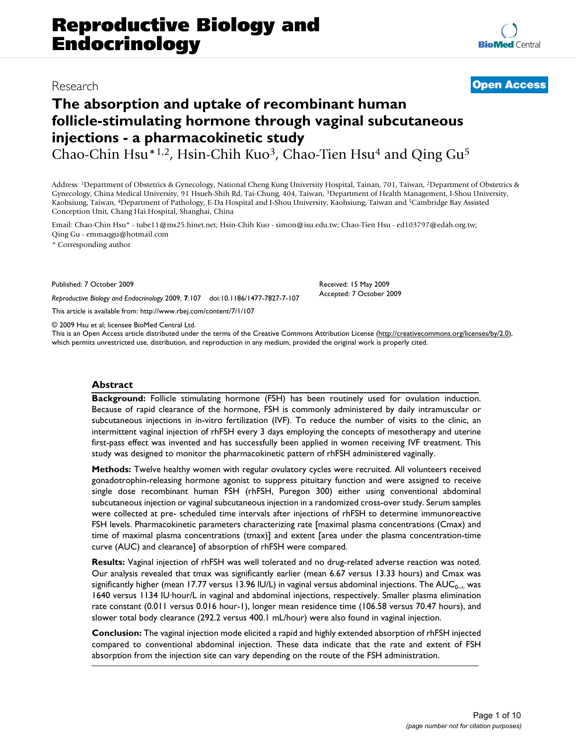# Research **[Open Access](http://www.biomedcentral.com/info/about/charter/)**

# **The absorption and uptake of recombinant human follicle-stimulating hormone through vaginal subcutaneous injections - a pharmacokinetic study**

Chao-Chin Hsu\*1,2, Hsin-Chih Kuo<sup>3</sup>, Chao-Tien Hsu<sup>4</sup> and Qing Gu<sup>5</sup>

Address: 1Department of Obstetrics & Gynecology, National Cheng Kung University Hospital, Tainan, 701, Taiwan, 2Department of Obstetrics & Gynecology, China Medical University, 91 Hsueh-Shih Rd, Tai-Chung, 404, Taiwan, 3Department of Health Management, I-Shou University, Kaohsiung, Taiwan, 4Department of Pathology, E-Da Hospital and I-Shou University, Kaohsiung, Taiwan and 5Cambridge Bay Assisted Conception Unit, Chang Hai Hospital, Shanghai, China

Email: Chao-Chin Hsu\* - tube11@ms25.hinet.net; Hsin-Chih Kuo - simon@isu.edu.tw; Chao-Tien Hsu - ed103797@edah.org.tw; Qing Gu - emmaqgu@hotmail.com

\* Corresponding author

Published: 7 October 2009

*Reproductive Biology and Endocrinology* 2009, **7**:107 doi:10.1186/1477-7827-7-107

[This article is available from: http://www.rbej.com/content/7/1/107](http://www.rbej.com/content/7/1/107)

© 2009 Hsu et al; licensee BioMed Central Ltd.

This is an Open Access article distributed under the terms of the Creative Commons Attribution License [\(http://creativecommons.org/licenses/by/2.0\)](http://creativecommons.org/licenses/by/2.0), which permits unrestricted use, distribution, and reproduction in any medium, provided the original work is properly cited.

Received: 15 May 2009 Accepted: 7 October 2009

# **Abstract**

**Background:** Follicle stimulating hormone (FSH) has been routinely used for ovulation induction. Because of rapid clearance of the hormone, FSH is commonly administered by daily intramuscular or subcutaneous injections in in-vitro fertilization (IVF). To reduce the number of visits to the clinic, an intermittent vaginal injection of rhFSH every 3 days employing the concepts of mesotherapy and uterine first-pass effect was invented and has successfully been applied in women receiving IVF treatment. This study was designed to monitor the pharmacokinetic pattern of rhFSH administered vaginally.

**Methods:** Twelve healthy women with regular ovulatory cycles were recruited. All volunteers received gonadotrophin-releasing hormone agonist to suppress pituitary function and were assigned to receive single dose recombinant human FSH (rhFSH, Puregon 300) either using conventional abdominal subcutaneous injection or vaginal subcutaneous injection in a randomized cross-over study. Serum samples were collected at pre- scheduled time intervals after injections of rhFSH to determine immunoreactive FSH levels. Pharmacokinetic parameters characterizing rate [maximal plasma concentrations (Cmax) and time of maximal plasma concentrations (tmax)] and extent [area under the plasma concentration-time curve (AUC) and clearance] of absorption of rhFSH were compared.

**Results:** Vaginal injection of rhFSH was well tolerated and no drug-related adverse reaction was noted. Our analysis revealed that tmax was significantly earlier (mean 6.67 versus 13.33 hours) and Cmax was significantly higher (mean 17.77 versus 13.96 IU/L) in vaginal versus abdominal injections. The AUC<sub>0- $\infty$ </sub> was 1640 versus 1134 IU·hour/L in vaginal and abdominal injections, respectively. Smaller plasma elimination rate constant (0.011 versus 0.016 hour-1), longer mean residence time (106.58 versus 70.47 hours), and slower total body clearance (292.2 versus 400.1 mL/hour) were also found in vaginal injection.

**Conclusion:** The vaginal injection mode elicited a rapid and highly extended absorption of rhFSH injected compared to conventional abdominal injection. These data indicate that the rate and extent of FSH absorption from the injection site can vary depending on the route of the FSH administration.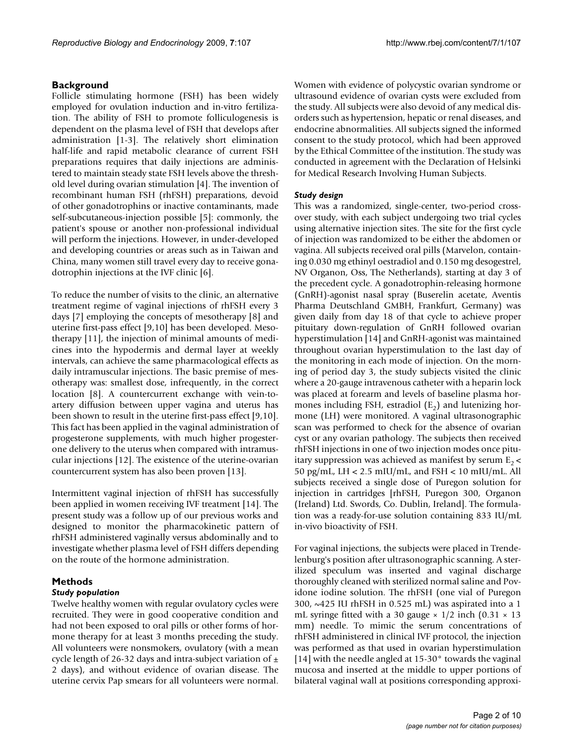# **Background**

Follicle stimulating hormone (FSH) has been widely employed for ovulation induction and in-vitro fertilization. The ability of FSH to promote folliculogenesis is dependent on the plasma level of FSH that develops after administration [1-3]. The relatively short elimination half-life and rapid metabolic clearance of current FSH preparations requires that daily injections are administered to maintain steady state FSH levels above the threshold level during ovarian stimulation [4]. The invention of recombinant human FSH (rhFSH) preparations, devoid of other gonadotrophins or inactive contaminants, made self-subcutaneous-injection possible [5]: commonly, the patient's spouse or another non-professional individual will perform the injections. However, in under-developed and developing countries or areas such as in Taiwan and China, many women still travel every day to receive gonadotrophin injections at the IVF clinic [6].

To reduce the number of visits to the clinic, an alternative treatment regime of vaginal injections of rhFSH every 3 days [7] employing the concepts of mesotherapy [8] and uterine first-pass effect [9,10] has been developed. Mesotherapy [11], the injection of minimal amounts of medicines into the hypodermis and dermal layer at weekly intervals, can achieve the same pharmacological effects as daily intramuscular injections. The basic premise of mesotherapy was: smallest dose, infrequently, in the correct location [8]. A countercurrent exchange with vein-toartery diffusion between upper vagina and uterus has been shown to result in the uterine first-pass effect [9,10]. This fact has been applied in the vaginal administration of progesterone supplements, with much higher progesterone delivery to the uterus when compared with intramuscular injections [12]. The existence of the uterine-ovarian countercurrent system has also been proven [13].

Intermittent vaginal injection of rhFSH has successfully been applied in women receiving IVF treatment [14]. The present study was a follow up of our previous works and designed to monitor the pharmacokinetic pattern of rhFSH administered vaginally versus abdominally and to investigate whether plasma level of FSH differs depending on the route of the hormone administration.

# **Methods**

### *Study population*

Twelve healthy women with regular ovulatory cycles were recruited. They were in good cooperative condition and had not been exposed to oral pills or other forms of hormone therapy for at least 3 months preceding the study. All volunteers were nonsmokers, ovulatory (with a mean cycle length of 26-32 days and intra-subject variation of  $\pm$ 2 days), and without evidence of ovarian disease. The uterine cervix Pap smears for all volunteers were normal.

Women with evidence of polycystic ovarian syndrome or ultrasound evidence of ovarian cysts were excluded from the study. All subjects were also devoid of any medical disorders such as hypertension, hepatic or renal diseases, and endocrine abnormalities. All subjects signed the informed consent to the study protocol, which had been approved by the Ethical Committee of the institution. The study was conducted in agreement with the Declaration of Helsinki for Medical Research Involving Human Subjects.

### *Study design*

This was a randomized, single-center, two-period crossover study, with each subject undergoing two trial cycles using alternative injection sites. The site for the first cycle of injection was randomized to be either the abdomen or vagina. All subjects received oral pills (Marvelon, containing 0.030 mg ethinyl oestradiol and 0.150 mg desogestrel, NV Organon, Oss, The Netherlands), starting at day 3 of the precedent cycle. A gonadotrophin-releasing hormone (GnRH)-agonist nasal spray (Buserelin acetate, Aventis Pharma Deutschland GMBH, Frankfurt, Germany) was given daily from day 18 of that cycle to achieve proper pituitary down-regulation of GnRH followed ovarian hyperstimulation [14] and GnRH-agonist was maintained throughout ovarian hyperstimulation to the last day of the monitoring in each mode of injection. On the morning of period day 3, the study subjects visited the clinic where a 20-gauge intravenous catheter with a heparin lock was placed at forearm and levels of baseline plasma hormones including FSH, estradiol  $(E_2)$  and lutenizing hormone (LH) were monitored. A vaginal ultrasonographic scan was performed to check for the absence of ovarian cyst or any ovarian pathology. The subjects then received rhFSH injections in one of two injection modes once pituitary suppression was achieved as manifest by serum  $E_2$  < 50 pg/mL, LH < 2.5 mIU/mL, and FSH < 10 mIU/mL. All subjects received a single dose of Puregon solution for injection in cartridges [rhFSH, Puregon 300, Organon (Ireland) Ltd. Swords, Co. Dublin, Ireland]. The formulation was a ready-for-use solution containing 833 IU/mL in-vivo bioactivity of FSH.

For vaginal injections, the subjects were placed in Trendelenburg's position after ultrasonographic scanning. A sterilized speculum was inserted and vaginal discharge thoroughly cleaned with sterilized normal saline and Povidone iodine solution. The rhFSH (one vial of Puregon 300, ~425 IU rhFSH in 0.525 mL) was aspirated into a 1 mL syringe fitted with a 30 gauge  $\times$  1/2 inch (0.31  $\times$  13 mm) needle. To mimic the serum concentrations of rhFSH administered in clinical IVF protocol, the injection was performed as that used in ovarian hyperstimulation [14] with the needle angled at 15-30° towards the vaginal mucosa and inserted at the middle to upper portions of bilateral vaginal wall at positions corresponding approxi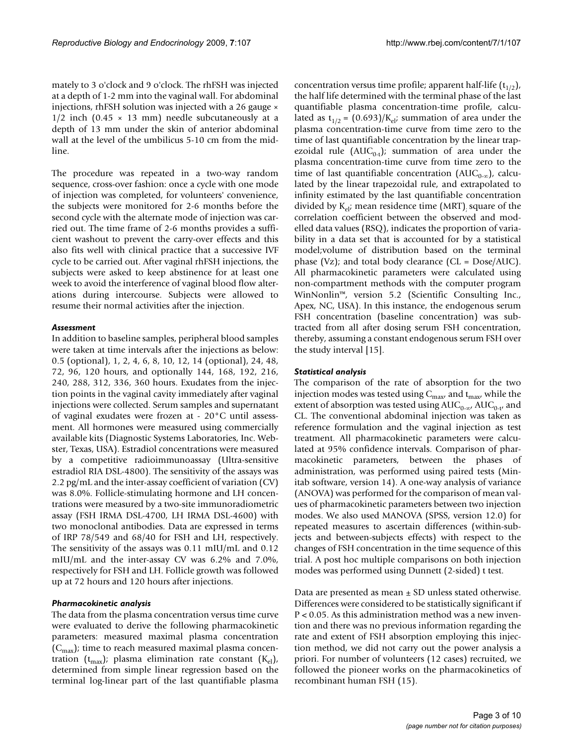mately to 3 o'clock and 9 o'clock. The rhFSH was injected at a depth of 1-2 mm into the vaginal wall. For abdominal injections, rhFSH solution was injected with a 26 gauge ×  $1/2$  inch (0.45  $\times$  13 mm) needle subcutaneously at a depth of 13 mm under the skin of anterior abdominal wall at the level of the umbilicus 5-10 cm from the midline.

The procedure was repeated in a two-way random sequence, cross-over fashion: once a cycle with one mode of injection was completed, for volunteers' convenience, the subjects were monitored for 2-6 months before the second cycle with the alternate mode of injection was carried out. The time frame of 2-6 months provides a sufficient washout to prevent the carry-over effects and this also fits well with clinical practice that a successive IVF cycle to be carried out. After vaginal rhFSH injections, the subjects were asked to keep abstinence for at least one week to avoid the interference of vaginal blood flow alterations during intercourse. Subjects were allowed to resume their normal activities after the injection.

#### *Assessment*

In addition to baseline samples, peripheral blood samples were taken at time intervals after the injections as below: 0.5 (optional), 1, 2, 4, 6, 8, 10, 12, 14 (optional), 24, 48, 72, 96, 120 hours, and optionally 144, 168, 192, 216, 240, 288, 312, 336, 360 hours. Exudates from the injection points in the vaginal cavity immediately after vaginal injections were collected. Serum samples and supernatant of vaginal exudates were frozen at - 20°C until assessment. All hormones were measured using commercially available kits (Diagnostic Systems Laboratories, Inc. Webster, Texas, USA). Estradiol concentrations were measured by a competitive radioimmunoassay (Ultra-sensitive estradiol RIA DSL-4800). The sensitivity of the assays was 2.2 pg/mL and the inter-assay coefficient of variation (CV) was 8.0%. Follicle-stimulating hormone and LH concentrations were measured by a two-site immunoradiometric assay (FSH IRMA DSL-4700, LH IRMA DSL-4600) with two monoclonal antibodies. Data are expressed in terms of IRP 78/549 and 68/40 for FSH and LH, respectively. The sensitivity of the assays was 0.11 mIU/mL and 0.12 mIU/mL and the inter-assay CV was 6.2% and 7.0%, respectively for FSH and LH. Follicle growth was followed up at 72 hours and 120 hours after injections.

#### *Pharmacokinetic analysis*

The data from the plasma concentration versus time curve were evaluated to derive the following pharmacokinetic parameters: measured maximal plasma concentration  $(C<sub>max</sub>)$ ; time to reach measured maximal plasma concentration ( $t_{max}$ ); plasma elimination rate constant ( $K_{el}$ ), determined from simple linear regression based on the terminal log-linear part of the last quantifiable plasma

concentration versus time profile; apparent half-life  $(t_{1/2})$ , the half life determined with the terminal phase of the last quantifiable plasma concentration-time profile, calculated as  $t_{1/2} = (0.693)/K_{el}$ ; summation of area under the plasma concentration-time curve from time zero to the time of last quantifiable concentration by the linear trapezoidal rule ( $AUC_{0-t}$ ); summation of area under the plasma concentration-time curve from time zero to the time of last quantifiable concentration ( $AUC_{0-\infty}$ ), calculated by the linear trapezoidal rule, and extrapolated to infinity estimated by the last quantifiable concentration divided by  $K_{el}$ ; mean residence time (MRT), square of the correlation coefficient between the observed and modelled data values (RSQ), indicates the proportion of variability in a data set that is accounted for by a statistical model;volume of distribution based on the terminal phase (Vz); and total body clearance (CL =  $Dose/AUC$ ). All pharmacokinetic parameters were calculated using non-compartment methods with the computer program WinNonlin™, version 5.2 (Scientific Consulting Inc., Apex, NC, USA). In this instance, the endogenous serum FSH concentration (baseline concentration) was subtracted from all after dosing serum FSH concentration, thereby, assuming a constant endogenous serum FSH over the study interval [15].

#### *Statistical analysis*

The comparison of the rate of absorption for the two injection modes was tested using  $C_{\text{max}}$  and  $t_{\text{max}}$ , while the extent of absorption was tested using  $AUC_{0-\alpha}$ ,  $AUC_{0-t}$ , and CL. The conventional abdominal injection was taken as reference formulation and the vaginal injection as test treatment. All pharmacokinetic parameters were calculated at 95% confidence intervals. Comparison of pharmacokinetic parameters, between the phases of administration, was performed using paired tests (Minitab software, version 14). A one-way analysis of variance (ANOVA) was performed for the comparison of mean values of pharmacokinetic parameters between two injection modes. We also used MANOVA (SPSS, version 12.0) for repeated measures to ascertain differences (within-subjects and between-subjects effects) with respect to the changes of FSH concentration in the time sequence of this trial. A post hoc multiple comparisons on both injection modes was performed using Dunnett (2-sided) t test.

Data are presented as mean  $\pm$  SD unless stated otherwise. Differences were considered to be statistically significant if P < 0.05. As this administration method was a new invention and there was no previous information regarding the rate and extent of FSH absorption employing this injection method, we did not carry out the power analysis a priori. For number of volunteers (12 cases) recruited, we followed the pioneer works on the pharmacokinetics of recombinant human FSH (15).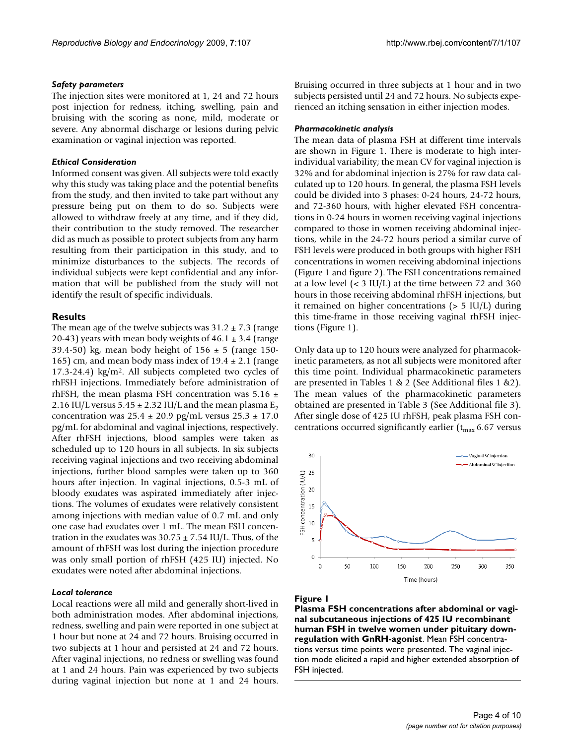#### *Safety parameters*

The injection sites were monitored at 1, 24 and 72 hours post injection for redness, itching, swelling, pain and bruising with the scoring as none, mild, moderate or severe. Any abnormal discharge or lesions during pelvic examination or vaginal injection was reported.

#### *Ethical Consideration*

Informed consent was given. All subjects were told exactly why this study was taking place and the potential benefits from the study, and then invited to take part without any pressure being put on them to do so. Subjects were allowed to withdraw freely at any time, and if they did, their contribution to the study removed. The researcher did as much as possible to protect subjects from any harm resulting from their participation in this study, and to minimize disturbances to the subjects. The records of individual subjects were kept confidential and any information that will be published from the study will not identify the result of specific individuals.

#### **Results**

The mean age of the twelve subjects was  $31.2 \pm 7.3$  (range 20-43) years with mean body weights of  $46.1 \pm 3.4$  (range 39.4-50) kg, mean body height of  $156 \pm 5$  (range 150-165) cm, and mean body mass index of  $19.4 \pm 2.1$  (range 17.3-24.4) kg/m2. All subjects completed two cycles of rhFSH injections. Immediately before administration of rhFSH, the mean plasma FSH concentration was  $5.16 \pm$ 2.16 IU/L versus  $5.45 \pm 2.32$  IU/L and the mean plasma  $E_2$ concentration was  $25.4 \pm 20.9$  pg/mL versus  $25.3 \pm 17.0$ pg/mL for abdominal and vaginal injections, respectively. After rhFSH injections, blood samples were taken as scheduled up to 120 hours in all subjects. In six subjects receiving vaginal injections and two receiving abdominal injections, further blood samples were taken up to 360 hours after injection. In vaginal injections, 0.5-3 mL of bloody exudates was aspirated immediately after injections. The volumes of exudates were relatively consistent among injections with median value of 0.7 mL and only one case had exudates over 1 mL. The mean FSH concentration in the exudates was  $30.75 \pm 7.54$  IU/L. Thus, of the amount of rhFSH was lost during the injection procedure was only small portion of rhFSH (425 IU) injected. No exudates were noted after abdominal injections.

#### *Local tolerance*

Local reactions were all mild and generally short-lived in both administration modes. After abdominal injections, redness, swelling and pain were reported in one subject at 1 hour but none at 24 and 72 hours. Bruising occurred in two subjects at 1 hour and persisted at 24 and 72 hours. After vaginal injections, no redness or swelling was found at 1 and 24 hours. Pain was experienced by two subjects during vaginal injection but none at 1 and 24 hours.

Bruising occurred in three subjects at 1 hour and in two subjects persisted until 24 and 72 hours. No subjects experienced an itching sensation in either injection modes.

#### *Pharmacokinetic analysis*

The mean data of plasma FSH at different time intervals are shown in Figure 1. There is moderate to high interindividual variability; the mean CV for vaginal injection is 32% and for abdominal injection is 27% for raw data calculated up to 120 hours. In general, the plasma FSH levels could be divided into 3 phases: 0-24 hours, 24-72 hours, and 72-360 hours, with higher elevated FSH concentrations in 0-24 hours in women receiving vaginal injections compared to those in women receiving abdominal injections, while in the 24-72 hours period a similar curve of FSH levels were produced in both groups with higher FSH concentrations in women receiving abdominal injections (Figure 1 and figure 2). The FSH concentrations remained at a low level  $(< 3 \text{ IU/L})$  at the time between 72 and 360 hours in those receiving abdominal rhFSH injections, but it remained on higher concentrations (> 5 IU/L) during this time-frame in those receiving vaginal rhFSH injections (Figure 1).

Only data up to 120 hours were analyzed for pharmacokinetic parameters, as not all subjects were monitored after this time point. Individual pharmacokinetic parameters are presented in Tables 1 & 2 (See Additional files 1 &2). The mean values of the pharmacokinetic parameters obtained are presented in Table 3 (See Additional file 3). After single dose of 425 IU rhFSH, peak plasma FSH concentrations occurred significantly earlier ( $t_{\rm max}$  6.67 versus



#### Figure I

**Plasma FSH concentrations after abdominal or vaginal subcutaneous injections of 425 IU recombinant human FSH in twelve women under pituitary downregulation with GnRH-agonist**. Mean FSH concentrations versus time points were presented. The vaginal injection mode elicited a rapid and higher extended absorption of FSH injected.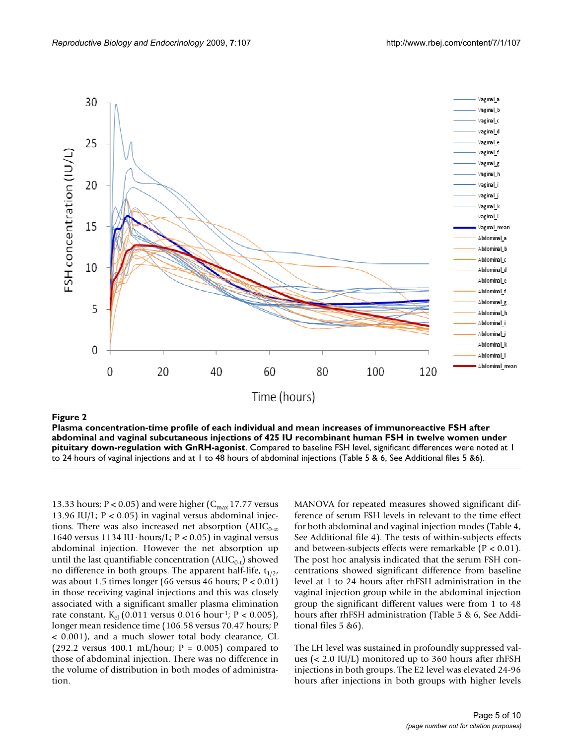

Figure 2 and 2008 and 2008 and 2008 and 2008 and 2008 and 2008 and 2008 and 2008 and 2008 and 2008 and 2008 an

**Plasma concentration-time profile of each individual and mean increases of immunoreactive FSH after abdominal and vaginal subcutaneous injections of 425 IU recombinant human FSH in twelve women under pituitary down-regulation with GnRH-agonist**. Compared to baseline FSH level, significant differences were noted at 1 to 24 hours of vaginal injections and at 1 to 48 hours of abdominal injections (Table 5 & 6, See Additional files 5 &6).

13.33 hours; P < 0.05) and were higher  $(C_{\text{max}} 17.77$  versus 13.96 IU/L;  $P < 0.05$ ) in vaginal versus abdominal injections. There was also increased net absorption ( $AUC_{0-\infty}$ 1640 versus 1134 IU·hours/L;  $P < 0.05$ ) in vaginal versus abdominal injection. However the net absorption up until the last quantifiable concentration  $(AUC_{0-t})$  showed no difference in both groups. The apparent half-life,  $t_{1/2}$ , was about 1.5 times longer (66 versus 46 hours; P < 0.01) in those receiving vaginal injections and this was closely associated with a significant smaller plasma elimination rate constant,  $K_{el}$  (0.011 versus 0.016 hour<sup>1</sup>; P < 0.005), longer mean residence time (106.58 versus 70.47 hours; P < 0.001), and a much slower total body clearance, CL (292.2 versus 400.1 mL/hour;  $P = 0.005$ ) compared to those of abdominal injection. There was no difference in the volume of distribution in both modes of administration.

MANOVA for repeated measures showed significant difference of serum FSH levels in relevant to the time effect for both abdominal and vaginal injection modes (Table 4, See Additional file 4). The tests of within-subjects effects and between-subjects effects were remarkable  $(P < 0.01)$ . The post hoc analysis indicated that the serum FSH concentrations showed significant difference from baseline level at 1 to 24 hours after rhFSH administration in the vaginal injection group while in the abdominal injection group the significant different values were from 1 to 48 hours after rhFSH administration (Table 5 & 6, See Additional files 5 &6).

The LH level was sustained in profoundly suppressed values (< 2.0 IU/L) monitored up to 360 hours after rhFSH injections in both groups. The E2 level was elevated 24-96 hours after injections in both groups with higher levels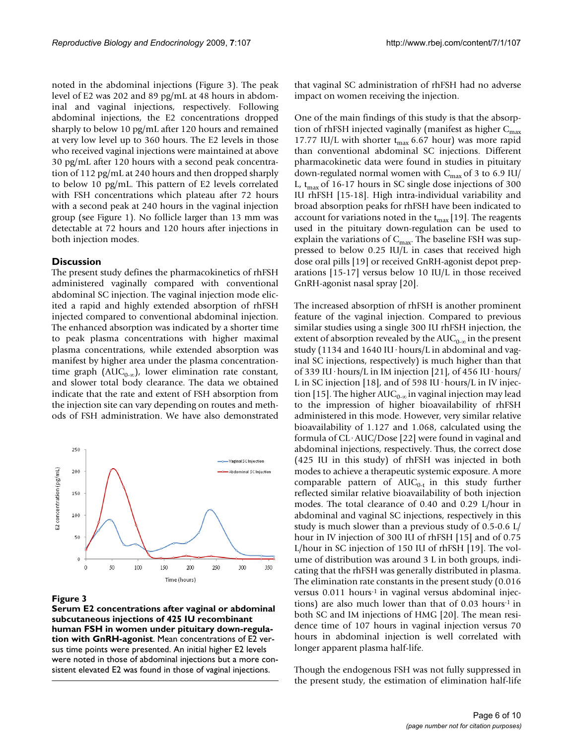noted in the abdominal injections (Figure 3). The peak level of E2 was 202 and 89 pg/mL at 48 hours in abdominal and vaginal injections, respectively. Following abdominal injections, the E2 concentrations dropped sharply to below 10 pg/mL after 120 hours and remained at very low level up to 360 hours. The E2 levels in those who received vaginal injections were maintained at above 30 pg/mL after 120 hours with a second peak concentration of 112 pg/mL at 240 hours and then dropped sharply to below 10 pg/mL. This pattern of E2 levels correlated with FSH concentrations which plateau after 72 hours with a second peak at 240 hours in the vaginal injection group (see Figure 1). No follicle larger than 13 mm was detectable at 72 hours and 120 hours after injections in both injection modes.

#### **Discussion**

The present study defines the pharmacokinetics of rhFSH administered vaginally compared with conventional abdominal SC injection. The vaginal injection mode elicited a rapid and highly extended absorption of rhFSH injected compared to conventional abdominal injection. The enhanced absorption was indicated by a shorter time to peak plasma concentrations with higher maximal plasma concentrations, while extended absorption was manifest by higher area under the plasma concentrationtime graph ( $AUC_{0-\infty}$ ), lower elimination rate constant, and slower total body clearance. The data we obtained indicate that the rate and extent of FSH absorption from the injection site can vary depending on routes and methods of FSH administration. We have also demonstrated



#### Figure 3

**Serum E2 concentrations after vaginal or abdominal subcutaneous injections of 425 IU recombinant human FSH in women under pituitary down-regulation with GnRH-agonist**. Mean concentrations of E2 versus time points were presented. An initial higher E2 levels were noted in those of abdominal injections but a more consistent elevated E2 was found in those of vaginal injections.

that vaginal SC administration of rhFSH had no adverse impact on women receiving the injection.

One of the main findings of this study is that the absorption of rhFSH injected vaginally (manifest as higher  $C_{\text{max}}$ 17.77 IU/L with shorter  $t_{\text{max}}$  6.67 hour) was more rapid than conventional abdominal SC injections. Different pharmacokinetic data were found in studies in pituitary down-regulated normal women with  $C_{max}$  of 3 to 6.9 IU/ L,  $t_{\rm max}$  of 16-17 hours in SC single dose injections of 300 IU rhFSH [15-18]. High intra-individual variability and broad absorption peaks for rhFSH have been indicated to account for variations noted in the  $t_{\text{max}}$  [19]. The reagents used in the pituitary down-regulation can be used to explain the variations of  $C_{\text{max}}$ . The baseline FSH was suppressed to below 0.25 IU/L in cases that received high dose oral pills [19] or received GnRH-agonist depot preparations [15-17] versus below 10 IU/L in those received GnRH-agonist nasal spray [20].

The increased absorption of rhFSH is another prominent feature of the vaginal injection. Compared to previous similar studies using a single 300 IU rhFSH injection, the extent of absorption revealed by the  $AUC_{0-\infty}$  in the present study (1134 and 1640 IU·hours/L in abdominal and vaginal SC injections, respectively) is much higher than that of 339 IU·hours/L in IM injection [21], of 456 IU·hours/ L in SC injection [18], and of 598 IU·hours/L in IV injection [15]. The higher AUC<sub>0-∞</sub> in vaginal injection may lead to the impression of higher bioavailability of rhFSH administered in this mode. However, very similar relative bioavailability of 1.127 and 1.068, calculated using the formula of CL·AUC/Dose [22] were found in vaginal and abdominal injections, respectively. Thus, the correct dose (425 IU in this study) of rhFSH was injected in both modes to achieve a therapeutic systemic exposure. A more comparable pattern of  $AUC_{0-t}$  in this study further reflected similar relative bioavailability of both injection modes. The total clearance of 0.40 and 0.29 L/hour in abdominal and vaginal SC injections, respectively in this study is much slower than a previous study of 0.5-0.6 L/ hour in IV injection of 300 IU of rhFSH [15] and of 0.75 L/hour in SC injection of 150 IU of rhFSH [19]. The volume of distribution was around 3 L in both groups, indicating that the rhFSH was generally distributed in plasma. The elimination rate constants in the present study (0.016 versus 0.011 hours<sup>-1</sup> in vaginal versus abdominal injections) are also much lower than that of 0.03 hours-1 in both SC and IM injections of HMG [20]. The mean residence time of 107 hours in vaginal injection versus 70 hours in abdominal injection is well correlated with longer apparent plasma half-life.

Though the endogenous FSH was not fully suppressed in the present study, the estimation of elimination half-life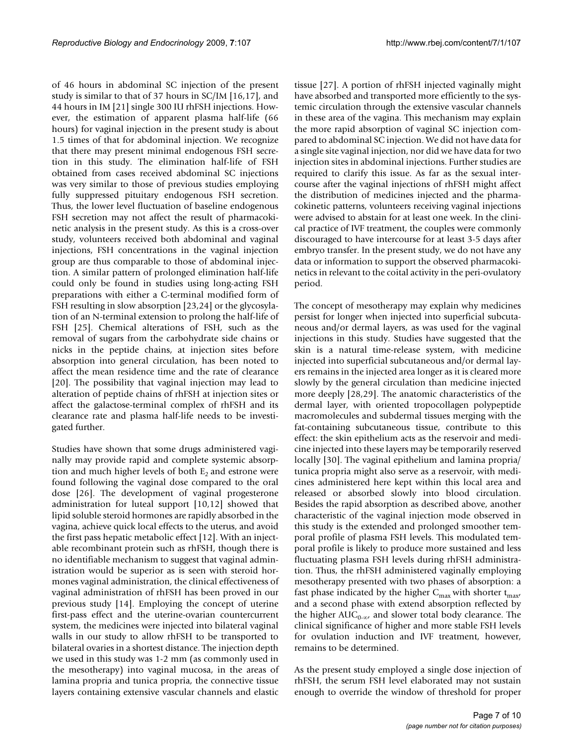of 46 hours in abdominal SC injection of the present study is similar to that of 37 hours in SC/IM [16,17], and 44 hours in IM [21] single 300 IU rhFSH injections. However, the estimation of apparent plasma half-life (66 hours) for vaginal injection in the present study is about 1.5 times of that for abdominal injection. We recognize that there may present minimal endogenous FSH secretion in this study. The elimination half-life of FSH obtained from cases received abdominal SC injections was very similar to those of previous studies employing fully suppressed pituitary endogenous FSH secretion. Thus, the lower level fluctuation of baseline endogenous FSH secretion may not affect the result of pharmacokinetic analysis in the present study. As this is a cross-over study, volunteers received both abdominal and vaginal injections, FSH concentrations in the vaginal injection group are thus comparable to those of abdominal injection. A similar pattern of prolonged elimination half-life could only be found in studies using long-acting FSH preparations with either a C-terminal modified form of FSH resulting in slow absorption [23,24] or the glycosylation of an N-terminal extension to prolong the half-life of FSH [25]. Chemical alterations of FSH, such as the removal of sugars from the carbohydrate side chains or nicks in the peptide chains, at injection sites before absorption into general circulation, has been noted to affect the mean residence time and the rate of clearance [20]. The possibility that vaginal injection may lead to alteration of peptide chains of rhFSH at injection sites or affect the galactose-terminal complex of rhFSH and its clearance rate and plasma half-life needs to be investigated further.

Studies have shown that some drugs administered vaginally may provide rapid and complete systemic absorption and much higher levels of both  $E_2$  and estrone were found following the vaginal dose compared to the oral dose [26]. The development of vaginal progesterone administration for luteal support [10,12] showed that lipid soluble steroid hormones are rapidly absorbed in the vagina, achieve quick local effects to the uterus, and avoid the first pass hepatic metabolic effect [12]. With an injectable recombinant protein such as rhFSH, though there is no identifiable mechanism to suggest that vaginal administration would be superior as is seen with steroid hormones vaginal administration, the clinical effectiveness of vaginal administration of rhFSH has been proved in our previous study [14]. Employing the concept of uterine first-pass effect and the uterine-ovarian countercurrent system, the medicines were injected into bilateral vaginal walls in our study to allow rhFSH to be transported to bilateral ovaries in a shortest distance. The injection depth we used in this study was 1-2 mm (as commonly used in the mesotherapy) into vaginal mucosa, in the areas of lamina propria and tunica propria, the connective tissue layers containing extensive vascular channels and elastic

tissue [27]. A portion of rhFSH injected vaginally might have absorbed and transported more efficiently to the systemic circulation through the extensive vascular channels in these area of the vagina. This mechanism may explain the more rapid absorption of vaginal SC injection compared to abdominal SC injection. We did not have data for a single site vaginal injection, nor did we have data for two injection sites in abdominal injections. Further studies are required to clarify this issue. As far as the sexual intercourse after the vaginal injections of rhFSH might affect the distribution of medicines injected and the pharmacokinetic patterns, volunteers receiving vaginal injections were advised to abstain for at least one week. In the clinical practice of IVF treatment, the couples were commonly discouraged to have intercourse for at least 3-5 days after embryo transfer. In the present study, we do not have any data or information to support the observed pharmacokinetics in relevant to the coital activity in the peri-ovulatory period.

The concept of mesotherapy may explain why medicines persist for longer when injected into superficial subcutaneous and/or dermal layers, as was used for the vaginal injections in this study. Studies have suggested that the skin is a natural time-release system, with medicine injected into superficial subcutaneous and/or dermal layers remains in the injected area longer as it is cleared more slowly by the general circulation than medicine injected more deeply [28,29]. The anatomic characteristics of the dermal layer, with oriented tropocollagen polypeptide macromolecules and subdermal tissues merging with the fat-containing subcutaneous tissue, contribute to this effect: the skin epithelium acts as the reservoir and medicine injected into these layers may be temporarily reserved locally [30]. The vaginal epithelium and lamina propria/ tunica propria might also serve as a reservoir, with medicines administered here kept within this local area and released or absorbed slowly into blood circulation. Besides the rapid absorption as described above, another characteristic of the vaginal injection mode observed in this study is the extended and prolonged smoother temporal profile of plasma FSH levels. This modulated temporal profile is likely to produce more sustained and less fluctuating plasma FSH levels during rhFSH administration. Thus, the rhFSH administered vaginally employing mesotherapy presented with two phases of absorption: a fast phase indicated by the higher  $C_{\text{max}}$  with shorter  $t_{\text{max}}$ , and a second phase with extend absorption reflected by the higher  $AUC_{0-\infty}$ , and slower total body clearance. The clinical significance of higher and more stable FSH levels for ovulation induction and IVF treatment, however, remains to be determined.

As the present study employed a single dose injection of rhFSH, the serum FSH level elaborated may not sustain enough to override the window of threshold for proper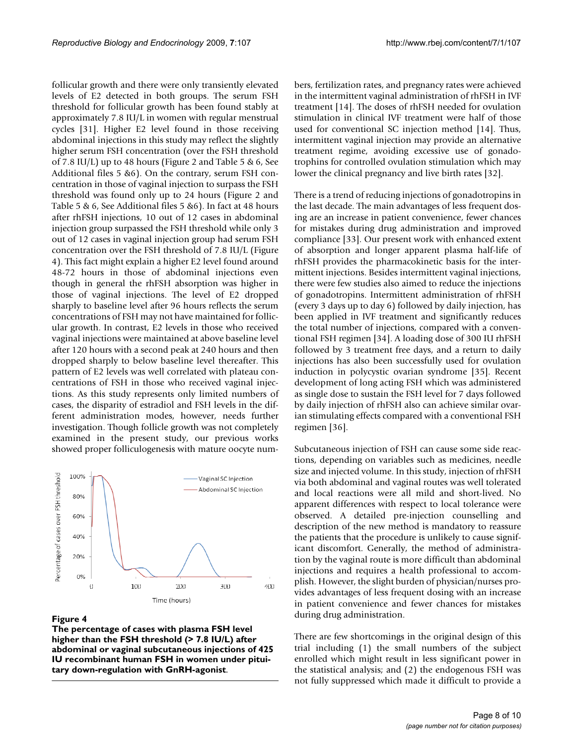follicular growth and there were only transiently elevated levels of E2 detected in both groups. The serum FSH threshold for follicular growth has been found stably at approximately 7.8 IU/L in women with regular menstrual cycles [31]. Higher E2 level found in those receiving abdominal injections in this study may reflect the slightly higher serum FSH concentration (over the FSH threshold of 7.8 IU/L) up to 48 hours (Figure 2 and Table 5 & 6, See Additional files 5 &6). On the contrary, serum FSH concentration in those of vaginal injection to surpass the FSH threshold was found only up to 24 hours (Figure 2 and Table 5 & 6, See Additional files 5 &6). In fact at 48 hours after rhFSH injections, 10 out of 12 cases in abdominal injection group surpassed the FSH threshold while only 3 out of 12 cases in vaginal injection group had serum FSH concentration over the FSH threshold of 7.8 IU/L (Figure 4). This fact might explain a higher E2 level found around 48-72 hours in those of abdominal injections even though in general the rhFSH absorption was higher in those of vaginal injections. The level of E2 dropped sharply to baseline level after 96 hours reflects the serum concentrations of FSH may not have maintained for follicular growth. In contrast, E2 levels in those who received vaginal injections were maintained at above baseline level after 120 hours with a second peak at 240 hours and then dropped sharply to below baseline level thereafter. This pattern of E2 levels was well correlated with plateau concentrations of FSH in those who received vaginal injections. As this study represents only limited numbers of cases, the disparity of estradiol and FSH levels in the different administration modes, however, needs further investigation. Though follicle growth was not completely examined in the present study, our previous works showed proper folliculogenesis with mature oocyte num-



#### Figure 4

**The percentage of cases with plasma FSH level higher than the FSH threshold (> 7.8 IU/L) after abdominal or vaginal subcutaneous injections of 425 IU recombinant human FSH in women under pituitary down-regulation with GnRH-agonist**.

bers, fertilization rates, and pregnancy rates were achieved in the intermittent vaginal administration of rhFSH in IVF treatment [14]. The doses of rhFSH needed for ovulation stimulation in clinical IVF treatment were half of those used for conventional SC injection method [14]. Thus, intermittent vaginal injection may provide an alternative treatment regime, avoiding excessive use of gonadotrophins for controlled ovulation stimulation which may lower the clinical pregnancy and live birth rates [32].

There is a trend of reducing injections of gonadotropins in the last decade. The main advantages of less frequent dosing are an increase in patient convenience, fewer chances for mistakes during drug administration and improved compliance [33]. Our present work with enhanced extent of absorption and longer apparent plasma half-life of rhFSH provides the pharmacokinetic basis for the intermittent injections. Besides intermittent vaginal injections, there were few studies also aimed to reduce the injections of gonadotropins. Intermittent administration of rhFSH (every 3 days up to day 6) followed by daily injection, has been applied in IVF treatment and significantly reduces the total number of injections, compared with a conventional FSH regimen [34]. A loading dose of 300 IU rhFSH followed by 3 treatment free days, and a return to daily injections has also been successfully used for ovulation induction in polycystic ovarian syndrome [35]. Recent development of long acting FSH which was administered as single dose to sustain the FSH level for 7 days followed by daily injection of rhFSH also can achieve similar ovarian stimulating effects compared with a conventional FSH regimen [36].

Subcutaneous injection of FSH can cause some side reactions, depending on variables such as medicines, needle size and injected volume. In this study, injection of rhFSH via both abdominal and vaginal routes was well tolerated and local reactions were all mild and short-lived. No apparent differences with respect to local tolerance were observed. A detailed pre-injection counselling and description of the new method is mandatory to reassure the patients that the procedure is unlikely to cause significant discomfort. Generally, the method of administration by the vaginal route is more difficult than abdominal injections and requires a health professional to accomplish. However, the slight burden of physician/nurses provides advantages of less frequent dosing with an increase in patient convenience and fewer chances for mistakes during drug administration.

There are few shortcomings in the original design of this trial including (1) the small numbers of the subject enrolled which might result in less significant power in the statistical analysis; and (2) the endogenous FSH was not fully suppressed which made it difficult to provide a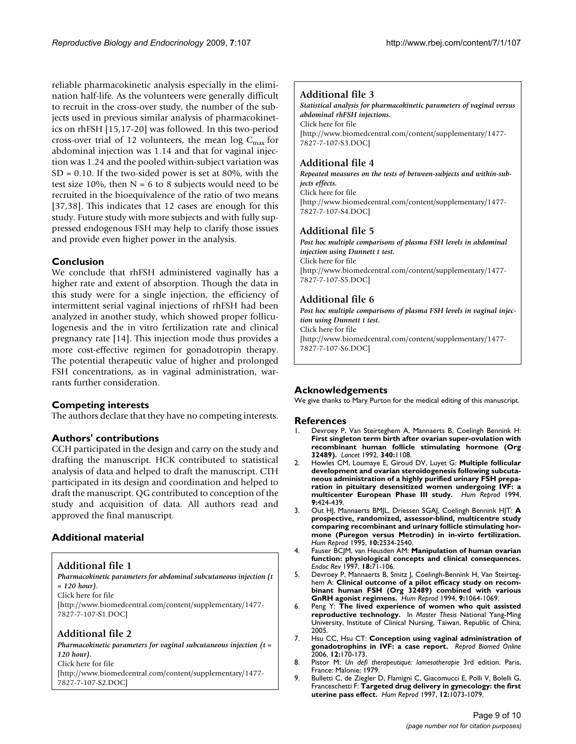reliable pharmacokinetic analysis especially in the elimination half-life. As the volunteers were generally difficult to recruit in the cross-over study, the number of the subjects used in previous similar analysis of pharmacokinetics on rhFSH [15,17-20] was followed. In this two-period cross-over trial of 12 volunteers, the mean log  $C_{\text{max}}$  for abdominal injection was 1.14 and that for vaginal injection was 1.24 and the pooled within-subject variation was  $SD = 0.10$ . If the two-sided power is set at 80%, with the test size 10%, then  $N = 6$  to 8 subjects would need to be recruited in the bioequivalence of the ratio of two means [37,38]. This indicates that 12 cases are enough for this study. Future study with more subjects and with fully suppressed endogenous FSH may help to clarify those issues and provide even higher power in the analysis.

# **Conclusion**

We conclude that rhFSH administered vaginally has a higher rate and extent of absorption. Though the data in this study were for a single injection, the efficiency of intermittent serial vaginal injections of rhFSH had been analyzed in another study, which showed proper folliculogenesis and the in vitro fertilization rate and clinical pregnancy rate [14]. This injection mode thus provides a more cost-effective regimen for gonadotropin therapy. The potential therapeutic value of higher and prolonged FSH concentrations, as in vaginal administration, warrants further consideration.

# **Competing interests**

The authors declare that they have no competing interests.

# **Authors' contributions**

CCH participated in the design and carry on the study and drafting the manuscript. HCK contributed to statistical analysis of data and helped to draft the manuscript. CTH participated in its design and coordination and helped to draft the manuscript. QG contributed to conception of the study and acquisition of data. All authors read and approved the final manuscript.

# **Additional material**

# **Additional file 1**

*Pharmacokinetic parameters for abdominal subcutaneous injection (t = 120 hour).*

Click here for file

[\[http://www.biomedcentral.com/content/supplementary/1477-](http://www.biomedcentral.com/content/supplementary/1477-7827-7-107-S1.DOC) 7827-7-107-S1.DOC]

# **Additional file 2**

*Pharmacokinetic parameters for vaginal subcutaneous injection (t = 120 hour).* Click here for file [\[http://www.biomedcentral.com/content/supplementary/1477-](http://www.biomedcentral.com/content/supplementary/1477-7827-7-107-S2.DOC) 7827-7-107-S2.DOC]

# **Additional file 3**

*Statistical analysis for pharmacokinetic parameters of vaginal versus abdominal rhFSH injections.* Click here for file [\[http://www.biomedcentral.com/content/supplementary/1477-](http://www.biomedcentral.com/content/supplementary/1477-7827-7-107-S3.DOC) 7827-7-107-S3.DOC]

# **Additional file 4**

*Repeated measures on the tests of between-subjects and within-subjects effects.* Click here for file [\[http://www.biomedcentral.com/content/supplementary/1477-](http://www.biomedcentral.com/content/supplementary/1477-7827-7-107-S4.DOC) 7827-7-107-S4.DOC]

# **Additional file 5**

*Post hoc multiple comparisons of plasma FSH levels in abdominal injection using Dunnett t test.* Click here for file [\[http://www.biomedcentral.com/content/supplementary/1477-](http://www.biomedcentral.com/content/supplementary/1477-7827-7-107-S5.DOC) 7827-7-107-S5.DOC]

# **Additional file 6**

*Post hoc multiple comparisons of plasma FSH levels in vaginal injection using Dunnett t test.* Click here for file [\[http://www.biomedcentral.com/content/supplementary/1477-](http://www.biomedcentral.com/content/supplementary/1477-7827-7-107-S6.DOC) 7827-7-107-S6.DOC]

# **Acknowledgements**

We give thanks to Mary Purton for the medical editing of this manuscript.

### **References**

- Devroey P, Van Steirteghem A, Mannaerts B, Coelingh Bennink H: **[First singleton term birth after ovarian super-ovulation with](http://www.ncbi.nlm.nih.gov/entrez/query.fcgi?cmd=Retrieve&db=PubMed&dopt=Abstract&list_uids=1357510) recombinant human follicle stimulating hormone (Org [32489\).](http://www.ncbi.nlm.nih.gov/entrez/query.fcgi?cmd=Retrieve&db=PubMed&dopt=Abstract&list_uids=1357510)** *Lancet* 1992, **340:**1108.
- 2. Howles CM, Loumaye E, Giroud DV, Luyet G: **[Multiple follicular](http://www.ncbi.nlm.nih.gov/entrez/query.fcgi?cmd=Retrieve&db=PubMed&dopt=Abstract&list_uids=8006130) [development and ovarian steroidogenesis following subcuta](http://www.ncbi.nlm.nih.gov/entrez/query.fcgi?cmd=Retrieve&db=PubMed&dopt=Abstract&list_uids=8006130)neous administration of a highly purified urinary FSH preparation in pituitary desensitized women undergoing IVF: a [multicenter European Phase III study.](http://www.ncbi.nlm.nih.gov/entrez/query.fcgi?cmd=Retrieve&db=PubMed&dopt=Abstract&list_uids=8006130)** *Hum Reprod* 1994, **9:**424-439.
- 3. Out HJ, Mannaerts BMJL, Driessen SGAJ, Coelingh Bennink HJT: **[A](http://www.ncbi.nlm.nih.gov/entrez/query.fcgi?cmd=Retrieve&db=PubMed&dopt=Abstract&list_uids=8567765) [prospective, randomized, assessor-blind, multicentre study](http://www.ncbi.nlm.nih.gov/entrez/query.fcgi?cmd=Retrieve&db=PubMed&dopt=Abstract&list_uids=8567765) comparing recombinant and urinary follicle stimulating hormone (Puregon versus Metrodin) in in-virto fertilization.** *Hum Reprod* 1995, **10:**2534-2540.
- 4. Fauser BCJM, van Heusden AM: **Manipulation of human ovarian function: physiological concepts and clinical consequences.** *Endoc Rev* 1997, **18:**71-106.
- 5. Devroey P, Mannaerts B, Smitz J, Coelingh-Bennink H, Van Steirteghem A: **[Clinical outcome of a pilot efficacy study on recom](http://www.ncbi.nlm.nih.gov/entrez/query.fcgi?cmd=Retrieve&db=PubMed&dopt=Abstract&list_uids=7962377)[binant human FSH \(Org 32489\) combined with various](http://www.ncbi.nlm.nih.gov/entrez/query.fcgi?cmd=Retrieve&db=PubMed&dopt=Abstract&list_uids=7962377) [GnRH agonist regimens.](http://www.ncbi.nlm.nih.gov/entrez/query.fcgi?cmd=Retrieve&db=PubMed&dopt=Abstract&list_uids=7962377)** *Hum Reprod* 1994, **9:**1064-1069.
- 6. Peng Y: **The lived experience of women who quit assisted reproductive technology.** In *Master Thesis* National Yang-Ming University, Institute of Clinical Nursing, Taiwan, Republic of China; 2005.
- 7. Hsu CC, Hsu CT: **[Conception using vaginal administration of](http://www.ncbi.nlm.nih.gov/entrez/query.fcgi?cmd=Retrieve&db=PubMed&dopt=Abstract&list_uids=16478580) [gonadotrophins in IVF: a case report.](http://www.ncbi.nlm.nih.gov/entrez/query.fcgi?cmd=Retrieve&db=PubMed&dopt=Abstract&list_uids=16478580)** *Reprod Biomed Online* 2006, **12:**170-173.
- 8. Pistor M: *Un defi therapeutique: lamesotherapie* 3rd edition. Paris, France: Malonie; 1979.
- 9. Bulletti C, de Ziegler D, Flamigni C, Giacomucci E, Polli V, Bolelli G, Franceschetti F: **[Targeted drug delivery in gynecology: the first](http://www.ncbi.nlm.nih.gov/entrez/query.fcgi?cmd=Retrieve&db=PubMed&dopt=Abstract&list_uids=9194669) [uterine pass effect.](http://www.ncbi.nlm.nih.gov/entrez/query.fcgi?cmd=Retrieve&db=PubMed&dopt=Abstract&list_uids=9194669)** *Hum Reprod* 1997, **12:**1073-1079.